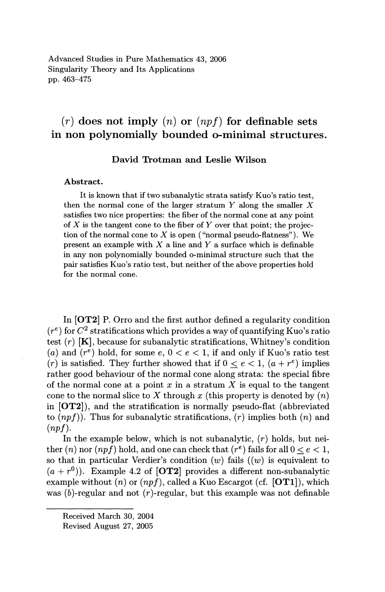Advanced Studies in Pure Mathematics 43, 2006 Singularity Theory and Its Applications pp. 463-475

# $(r)$  does not imply  $(n)$  or  $(npf)$  for definable sets in non polynomially bounded o-minimal structures.

### David Trotman and Leslie Wilson

### Abstract.

It is known that if two subanalytic strata satisfy Kuo's ratio test, then the normal cone of the larger stratum  $Y$  along the smaller  $X$ satisfies two nice properties: the fiber of the normal cone at any point of X is the tangent cone to the fiber of Y over that point; the projection of the normal cone to  $X$  is open ("normal pseudo-flatness"). We present an example with  $X$  a line and  $Y$  a surface which is definable in any non polynomially bounded o-minimal structure such that the pair satisfies Kuo's ratio test, but neither of the above properties hold for the normal cone.

In [OT2] P. Orro and the first author defined a regularity condition  $(r<sup>e</sup>)$  for  $C<sup>2</sup>$  stratifications which provides a way of quantifying Kuo's ratio test  $(r)$  [K], because for subanalytic stratifications, Whitney's condition (a) and  $(r^e)$  hold, for some  $e, 0 < e < 1$ , if and only if Kuo's ratio test *(r)* is satisfied. They further showed that if  $0 < e < 1$ ,  $(a + r^e)$  implies rather good behaviour of the normal cone along strata: the special fibre of the normal cone at a point  $x$  in a stratum  $X$  is equal to the tangent cone to the normal slice to X through  $x$  (this property is denoted by  $(n)$ ) in [OT2]), and the stratification is normally pseudo-flat (abbreviated to *(npf)).* Thus for subanalytic stratifications, *(r)* implies both *(n)* and *(npf).* 

In the example below, which is not subanalytic,  $(r)$  holds, but neither (*n*) nor (*npf*) hold, and one can check that ( $r^e$ ) fails for all  $0 < e < 1$ , so that in particular Verdier's condition  $(w)$  fails  $((w)$  is equivalent to  $(a + r^0)$ ). Example 4.2 of [**OT2**] provides a different non-subanalytic example without  $(n)$  or  $(npf)$ , called a Kuo Escargot (cf.  $[OT1]$ ), which was  $(b)$ -regular and not  $(r)$ -regular, but this example was not definable

Received March 30, 2004

Revised August 27, 2005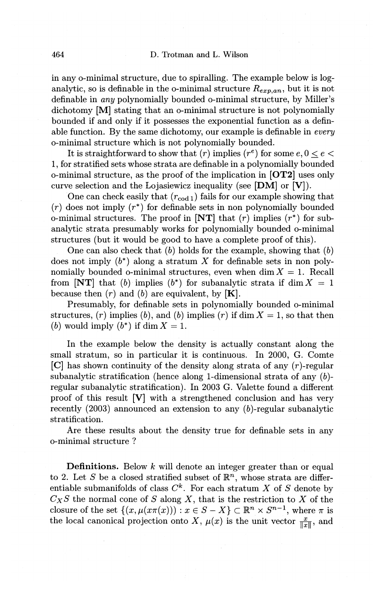in any o-minimal structure, due to spiralling. The example below is loganalytic, so is definable in the o-minimal structure  $R_{ern,an}$ , but it is not definable in any polynomially bounded o-minimal structure, by Miller's dichotomy [M] stating that an o-minimal structure is not polynomially bounded if and only if it possesses the exponential function as a definable function. By the same dichotomy, our example is definable in *every*  o-minimal structure which is not polynomially bounded.

It is straightforward to show that  $(r)$  implies  $(r^e)$  for some  $e, 0 < e <$ 1, for stratified sets whose strata are definable in a polynomially bounded o-minimal structure, as the proof of the implication in **[OT2]** uses only curve selection and the Lojasiewicz inequality (see **[DM] or [V]).** 

One can check easily that  $(r_{\text{cod } 1})$  fails for our example showing that  $(r)$  does not imply  $(r^*)$  for definable sets in non polynomially bounded o-minimal structures. The proof in  $\text{[NT]}$  that (r) implies (r<sup>\*</sup>) for subanalytic strata presumably works for polynomially bounded o-minimal structures (but it would be good to have a complete proof of this).

One can also check that  $(b)$  holds for the example, showing that  $(b)$ does not imply  $(b^*)$  along a stratum X for definable sets in non polynomially bounded o-minimal structures, even when  $\dim X = 1$ . Recall from **[NT]** that (b) implies (b<sup>\*</sup>) for subanalytic strata if dim  $X = 1$ because then  $(r)$  and  $(b)$  are equivalent, by  $[K]$ .

Presumably, for definable sets in polynomially bounded o-minimal structures,  $(r)$  implies  $(b)$ , and  $(b)$  implies  $(r)$  if dim  $X = 1$ , so that then (b) would imply  $(b^*)$  if dim  $X=1$ .

In the example below the density is actually constant along the small stratum, so in particular it is continuous. In 2000, G. Comte [C] has shown continuity of the density along strata of any (r)-regular subanalytic stratification (hence along 1-dimensional strata of any (b) regular subanalytic stratification). In 2003 G. Valette found a different proof of this result **[V]** with a strengthened conclusion and has very recently (2003) announced an extension to any (b)-regular subanaiytic stratification.

Are these results about the density true for definable sets in any o-minimal structure ?

**Definitions.** Below *k* will denote an integer greater than or equal to 2. Let *S* be a closed stratified subset of  $\mathbb{R}^n$ , whose strata are differentiable submanifolds of class  $C^k$ . For each stratum X of S denote by  $C_X S$  the normal cone of S along X, that is the restriction to X of the closure of the set  $\{(x, \mu(x\pi(x))): x \in S - X\} \subset \mathbb{R}^n \times S^{n-1}$ , where  $\pi$  is the local canonical projection onto X,  $\mu(x)$  is the unit vector  $\frac{x}{\|x\|}$ , and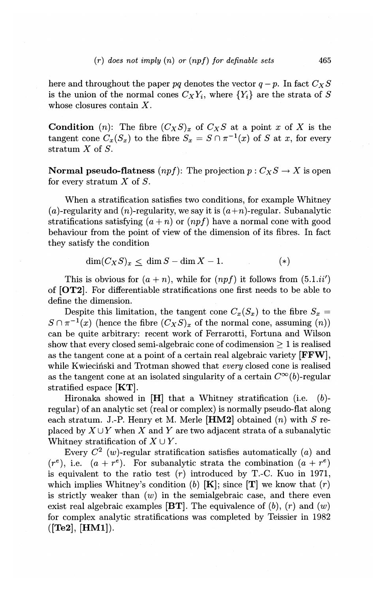here and throughout the paper pq denotes the vector  $q-p$ . In fact  $C_X S$ is the union of the normal cones  $C_X Y_i$ , where  $\{Y_i\}$  are the strata of S whose closures contain X.

**Condition** (n): The fibre  $(C_X S)_x$  of  $C_X S$  at a point *x* of *X* is the tangent cone  $C_x(S_x)$  to the fibre  $S_x = S \cap \pi^{-1}(x)$  of *S* at *x*, for every stratum *X* of *S.* 

**Normal pseudo-flatness**  $(npf)$ : The projection  $p: C_X S \to X$  is open for every stratum  $X$  of  $S$ .

When a stratification satisfies two conditions, for example Whitney (a)-regularity and (n)-regularity, we say it is  $(a+n)$ -regular. Subanalytic stratifications satisfying  $(a+n)$  or  $(npf)$  have a normal cone with good behaviour from the point of view of the dimension of its fibres. In fact they satisfy the condition

$$
\dim(C_X S)_x \le \dim S - \dim X - 1. \tag{*}
$$

This is obvious for  $(a+n)$ , while for  $(npf)$  it follows from  $(5.1.i'')$ of **[OT2].** For differentiable stratifications one first needs to be able to define the dimension.

Despite this limitation, the tangent cone  $C_x(S_x)$  to the fibre  $S_x =$  $S \cap \pi^{-1}(x)$  (hence the fibre  $(C_X S)_x$  of the normal cone, assuming  $(n)$ ) can be quite arbitrary: recent work of Ferrarotti, Fortuna and Wilson show that every closed semi-algebraic cone of codimension  $\geq 1$  is realised as the tangent cone at a point of a certain real algebraic variety **[FFW],**  while Kwiecinski and Trotman showed that *every* closed cone is realised as the tangent cone at an isolated singularity of a certain  $C^{\infty}(b)$ -regular stratified espace **[KT].** 

Hironaka showed in **[H]** that a Whitney stratification (i.e. (b) regular) of an analytic set (real or complex) is normally pseudo-flat along each stratum. J.-P. Henry et M. Merle **[HM2]** obtained (n) with *S* replaced by  $X \cup Y$  when X and Y are two adjacent strata of a subanalytic Whitney stratification of  $X \cup Y$ .

Every  $C^2$  (w)-regular stratification satisfies automatically (a) and  $(r^e)$ , i.e.  $(a + r^e)$ . For subanalytic strata the combination  $(a + r^e)$ is equivalent to the ratio test  $(r)$  introduced by T.-C. Kuo in 1971, which implies Whitney's condition (b)  $[K]$ ; since  $[T]$  we know that  $(r)$ is strictly weaker than  $(w)$  in the semialgebraic case, and there even exist real algebraic examples **[BT]**. The equivalence of  $(b)$ ,  $(r)$  and  $(w)$ for complex analytic stratifications was completed by Teissier in 1982 **([Te2], [HMl]).**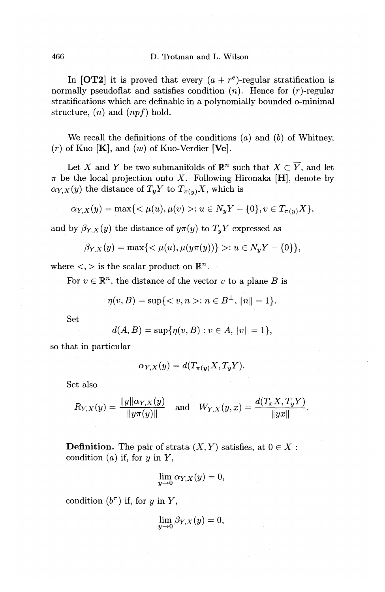In **[OT2]** it is proved that every  $(a + r^e)$ -regular stratification is normally pseudoflat and satisfies condition  $(n)$ . Hence for  $(r)$ -regular stratifications which are definable in a polynomially bounded o-minimal structure, *(n)* and *(npf)* hold.

We recall the definitions of the conditions  $(a)$  and  $(b)$  of Whitney,  $(r)$  of Kuo  $[K]$ , and  $(w)$  of Kuo-Verdier  $[Ve]$ .

Let X and Y be two submanifolds of  $\mathbb{R}^n$  such that  $X \subset \overline{Y}$ , and let  $\pi$  be the local projection onto X. Following Hironaka [H], denote by  $\alpha_{Y,X}(y)$  the distance of  $T_yY$  to  $T_{\pi(y)}X$ , which is

$$
\alpha_{Y,X}(y) = \max\{< \mu(u), \mu(v) > : u \in N_y Y - \{0\}, v \in T_{\pi(y)} X\},
$$

and by  $\beta_{Y,X}(y)$  the distance of  $y\pi(y)$  to  $T_yY$  expressed as

$$
\beta_{Y,X}(y) = \max\{< \mu(u), \mu(y\pi(y))\} > : u \in N_y Y - \{0\}\},
$$

where  $\lt,$  > is the scalar product on  $\mathbb{R}^n$ .

For  $v \in \mathbb{R}^n$ , the distance of the vector *v* to a plane B is

$$
\eta(v, B) = \sup\{ < v, n > : n \in B^{\perp}, \|n\| = 1\}.
$$

Set

$$
d(A, B) = \sup \{ \eta(v, B) : v \in A, ||v|| = 1 \},\
$$

so that in particular

$$
\alpha_{Y,X}(y) = d(T_{\pi(y)}X, T_yY).
$$

Set also

$$
R_{Y,X}(y) = \frac{\|y\| \alpha_{Y,X}(y)}{\|y\pi(y)\|} \quad \text{and} \quad W_{Y,X}(y,x) = \frac{d(T_x X, T_y Y)}{\|y x\|}.
$$

**Definition.** The pair of strata  $(X, Y)$  satisfies, at  $0 \in X$ : condition  $(a)$  if, for  $y$  in  $Y$ ,

$$
\lim_{y \to 0} \alpha_{Y,X}(y) = 0,
$$

condition  $(b^{\pi})$  if, for *y* in *Y*,

$$
\lim_{y\to 0}\beta_{Y,X}(y)=0,
$$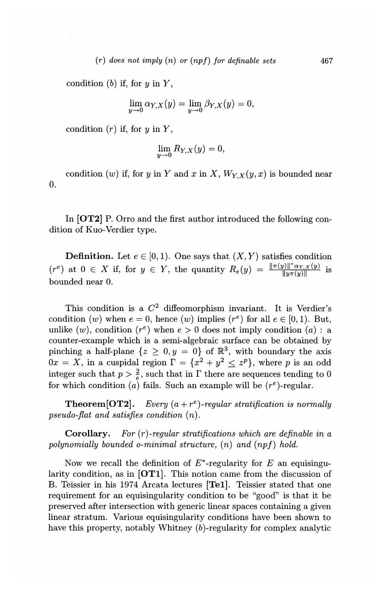condition (b) if, for  $y$  in  $Y$ ,

$$
\lim_{y \to 0} \alpha_{Y,X}(y) = \lim_{y \to 0} \beta_{Y,X}(y) = 0,
$$

condition  $(r)$  if, for y in Y,

$$
\lim_{y\to 0}R_{Y,X}(y)=0,
$$

condition  $(w)$  if, for y in Y and x in X,  $W_{Y,X}(y,x)$  is bounded near 0.

In **[OT2]** P. Orro and the first author introduced the following condition of Kuo-Verdier type.

**Definition.** Let  $e \in [0, 1)$ . One says that  $(X, Y)$  satisfies condition  $(r^e)$  at  $0 \in X$  if, for  $y \in Y$ , the quantity  $R_e(y) = \frac{\|\pi(y)\|^{\kappa} \alpha_{Y,X}(y)}{\|y\pi(y)\|}$  is bounded near 0.

This condition is a  $C^2$  diffeomorphism invariant. It is Verdier's condition  $(w)$  when  $e = 0$ , hence  $(w)$  implies  $(r<sup>e</sup>)$  for all  $e \in [0, 1)$ . But, unlike  $(w)$ , condition  $(r^e)$  when  $e > 0$  does not imply condition  $(a)$ : a counter-example which is a semi-algebraic surface can be obtained by pinching a half-plane  $\{z \geq 0, y = 0\}$  of  $\mathbb{R}^3$ , with boundary the axis  $\overline{Ox} = \overline{X}$ , in a cuspidal region  $\Gamma = \{x^2 + y^2 \leq z^p\}$ , where p is an odd integer such that  $p > \frac{2}{e}$ , such that in  $\Gamma$  there are sequences tending to 0 for which condition (a) fails. Such an example will be  $(r<sup>e</sup>)$ -regular.

**Theorem[OT2].** *Every*  $(a+r^e)$ -regular stratification is normally *pseudo-flat and satisfies condition* ( *n).* 

**Corollary.** *For (r)-regular stratifications which are definable in a polynomially bounded a-minimal structure, (n) and (npf) hold.* 

Now we recall the definition of  $E^*$ -regularity for  $E$  an equisingularity condition, as in **[OTl].** This notion came from the discussion of B. Teissier in his 1974 Arcata lectures **[Tel].** Teissier stated that one requirement for an equisingularity condition to be "good" is that it be preserved after intersection with generic linear spaces containing a given linear stratum. Various equisingularity conditions have been shown to have this property, notably Whitney (b)-regularity for complex analytic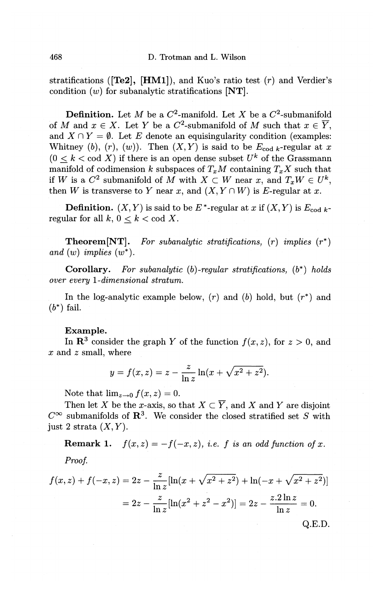468 D. Trotman and L. Wilson

stratifications **([Te2], [HMl]),** and Kuo's ratio test (r) and Verdier's condition  $(w)$  for subanalytic stratifications  $[NT]$ .

**Definition.** Let *M* be a  $C^2$ -manifold. Let *X* be a  $C^2$ -submanifold of M and  $x \in X$ . Let Y be a  $C^2$ -submanifold of M such that  $x \in \overline{Y}$ , and  $X \cap Y = \emptyset$ . Let E denote an equisingularity condition (examples: Whitney (b),  $(r)$ ,  $(w)$ ). Then  $(X, Y)$  is said to be  $E_{\text{cod }k}$ -regular at x  $(0 < k < \text{cod } X)$  if there is an open dense subset  $U^k$  of the Grassmann manifold of codimension k subspaces of  $T_xM$  containing  $T_xX$  such that if W is a  $C^2$  submanifold of M with  $X \subset W$  near x, and  $T_x W \in U^k$ , then *W* is transverse to *Y* near *x*, and  $(X, Y \cap W)$  is *E*-regular at *x*.

**Definition.**  $(X, Y)$  is said to be  $E^*$ -regular at *x* if  $(X, Y)$  is  $E_{\text{cod }k}$ regular for all  $k, 0 < k < \text{cod } X$ .

**Theorem[NT].** *For subanalytic stratifications,* (r) *implies* (r\*) and  $(w)$  *implies*  $(w^*)$ .

**Corollary.** *For subanalytic* (b) *··regular stratifications,* ( b\*) *holds over every !-dimensional stratum.* 

In the log-analytic example below,  $(r)$  and  $(b)$  hold, but  $(r^*)$  and  $(b^*)$  fail.

#### **Example.**

In  $\mathbb{R}^3$  consider the graph *Y* of the function  $f(x, z)$ , for  $z > 0$ , and  $x$  and  $z$  small, where

$$
y = f(x, z) = z - \frac{z}{\ln z} \ln(x + \sqrt{x^2 + z^2}).
$$

Note that  $\lim_{z\to 0} f(x, z) = 0$ .

Then let *X* be the *x*-axis, so that  $X \subset \overline{Y}$ , and *X* and *Y* are disjoint  $C^{\infty}$  submanifolds of **R**<sup>3</sup>. We consider the closed stratified set *S* with just 2 strata  $(X, Y)$ .

**Remark 1.**  $f(x, z) = -f(-x, z)$ , *i.e. f is an odd function of x. Proof.* 

$$
f(x, z) + f(-x, z) = 2z - \frac{z}{\ln z} [\ln(x + \sqrt{x^2 + z^2}) + \ln(-x + \sqrt{x^2 + z^2})]
$$
  
=  $2z - \frac{z}{\ln z} [\ln(x^2 + z^2 - x^2)] = 2z - \frac{z \cdot 2 \ln z}{\ln z} = 0.$   
Q.E.D.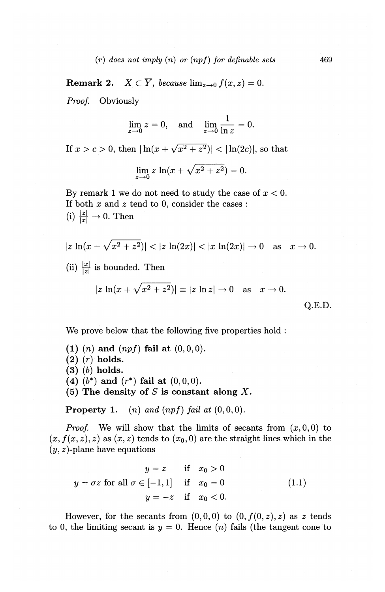**Remark 2.**  $X \subset \overline{Y}$ , because  $\lim_{z \to 0} f(x, z) = 0$ .

Proof. Obviously

$$
\lim_{z \to 0} z = 0, \text{ and } \lim_{z \to 0} \frac{1}{\ln z} = 0.
$$

If  $x > c > 0$ , then  $|\ln(x + \sqrt{x^2 + z^2})| < |\ln(2c)|$ , so that

$$
\lim_{z \to 0} z \, \ln(x + \sqrt{x^2 + z^2}) = 0.
$$

By remark 1 we do not need to study the case of  $x < 0$ . If both  $x$  and  $z$  tend to 0, consider the cases: (i)  $\frac{|z|}{|x|} \to 0$ . Then

$$
|z \ln(x + \sqrt{x^2 + z^2})| < |z \ln(2x)| < |x \ln(2x)| \to 0 \quad \text{as} \quad x \to 0.
$$
\n(ii)  $\frac{|x|}{|z|}$  is bounded. Then

\n
$$
|z \ln(x + \sqrt{x^2 + z^2})| \equiv |z \ln z| \to 0 \quad \text{as} \quad x \to 0.
$$

$$
|z \ln(x + \sqrt{x^2 + z^2})| \equiv |z \ln z| \to 0 \quad \text{as} \quad x \to 0.
$$

We prove below that the following five properties hold :

**(1)** *(n)* **and** *(npf)* **fail at** (0, 0, 0).

- **(2)** (r) **holds.**
- **(3)** (b) **holds.**
- **(4)** (b\*) **and** (r\*) **fail at** (0,0,0).
- **(5) The density of** Sis **constant along** X.

**Property 1.** (*n*) and  $(npf)$  fail at  $(0, 0, 0)$ .

*Proof.* We will show that the limits of secants from  $(x, 0, 0)$  to  $(x, f(x, z), z)$  as  $(x, z)$  tends to  $(x<sub>0</sub>, 0)$  are the straight lines which in the  $(y, z)$ -plane have equations

$$
y = z \quad \text{if} \quad x_0 > 0
$$
  

$$
y = \sigma z \text{ for all } \sigma \in [-1, 1] \quad \text{if} \quad x_0 = 0
$$
  

$$
y = -z \quad \text{if} \quad x_0 < 0.
$$
 (1.1)

However, for the secants from  $(0,0,0)$  to  $(0,f(0,z),z)$  as z tends to 0, the limiting secant is  $y = 0$ . Hence  $(n)$  fails (the tangent cone to

Q.E.D.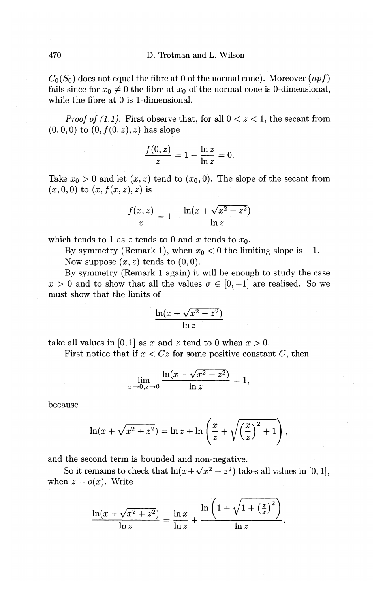$C_0(S_0)$  does not equal the fibre at 0 of the normal cone). Moreover  $(npf)$ fails since for  $x_0 \neq 0$  the fibre at  $x_0$  of the normal cone is 0-dimensional, while the fibre at 0 is 1-dimensional.

*Proof of (1.1).* First observe that, for all  $0 < z < 1$ , the secant from  $(0, 0, 0)$  to  $(0, f(0, z), z)$  has slope

$$
\frac{f(0,z)}{z}=1-\frac{\ln z}{\ln z}=0.
$$

Take  $x_0 > 0$  and let  $(x, z)$  tend to  $(x_0, 0)$ . The slope of the secant from  $(x, 0, 0)$  to  $(x, f(x, z), z)$  is

), z) is  

$$
\frac{f(x, z)}{z} = 1 - \frac{\ln(x + \sqrt{x^2 + z^2})}{\ln z}
$$

which tends to 1 as *z* tends to 0 and *x* tends to  $x_0$ .

By symmetry (Remark 1), when  $x_0 < 0$  the limiting slope is  $-1$ .

Now suppose  $(x, z)$  tends to  $(0, 0)$ .

By symmetry (Remark 1 again) it will be enough to study the case  $x > 0$  and to show that all the values  $\sigma \in [0, +1]$  are realised. So we must show that the limits of

$$
\frac{\ln(x + \sqrt{x^2 + z^2})}{\ln z}
$$

take all values in  $[0, 1]$  as x and z tend to 0 when  $x > 0$ .

First notice that if  $x < Cz$  for some positive constant  $C$ , then

$$
\lim_{x \to 0, z \to 0} \frac{\ln(x + \sqrt{x^2 + z^2})}{\ln z} = 1,
$$

because

$$
\ln(x+\sqrt{x^2+z^2}) = \ln z + \ln\left(\frac{x}{z}+\sqrt{\left(\frac{x}{z}\right)^2+1}\right),\,
$$

and the second term is bounded and non-negative.

So it remains to check that  $\ln(x+\sqrt{x^2+z^2})$  takes all values in [0, 1], when  $z = o(x)$ . Write

$$
\frac{\ln(x+\sqrt{x^2+z^2})}{\ln z}=\frac{\ln x}{\ln z}+\frac{\ln\left(1+\sqrt{1+\left(\frac{z}{x}\right)^2}\right)}{\ln z}.
$$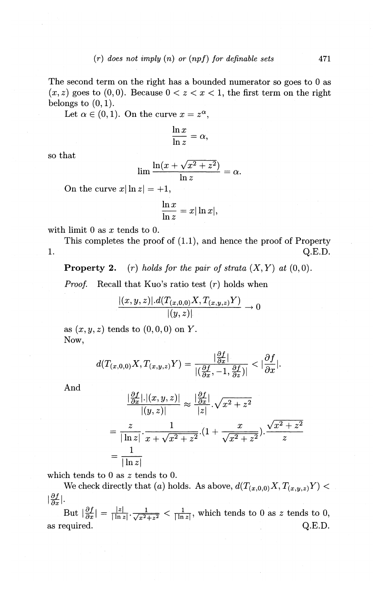The second term on the right has a bounded numerator so goes to 0 as  $(x, z)$  goes to  $(0, 0)$ . Because  $0 < z < x < 1$ , the first term on the right belongs to  $(0, 1)$ .

Let  $\alpha \in (0, 1)$ . On the curve  $x = z^{\alpha}$ ,

$$
\frac{\ln x}{\ln z} = \alpha,
$$

so that

$$
\lim \frac{\ln(x + \sqrt{x^2 + z^2})}{\ln z} = \alpha.
$$

On the curve  $x|\ln z| = +1$ ,

$$
\frac{\ln x}{\ln z} = x |\ln x|,
$$

with limit 0 as *x* tends to 0.

This completes the proof of (1.1), and hence the proof of Property 1.  $Q.E.D.$ 

**Property 2.** (r) *holds for the pair of strata*  $(X, Y)$  *at*  $(0, 0)$ *.* 

*Proof.* Recall that Kuo's ratio test  $(r)$  holds when

$$
\frac{|(x,y,z)|.d(T_{(x,0,0)}X,T_{(x,y,z)}Y)}{|(y,z)|}\to 0
$$

as  $(x, y, z)$  tends to  $(0, 0, 0)$  on *Y*. Now,

$$
d(T_{(x,0,0)}X,T_{(x,y,z)}Y)=\frac{\left|\frac{\partial f}{\partial x}\right|}{\left|\left(\frac{\partial f}{\partial x},-1,\frac{\partial f}{\partial z}\right)\right|}<\left|\frac{\partial f}{\partial x}\right|.
$$

And

$$
\frac{\left|\frac{\partial f}{\partial x}\right|.\left|(x,y,z)\right|}{\left|(y,z)\right|} \approx \frac{\left|\frac{\partial f}{\partial x}\right|}{|z|}.\sqrt{x^2 + z^2}
$$
\n
$$
= \frac{z}{|\ln z|}.\frac{1}{x + \sqrt{x^2 + z^2}}.\left(1 + \frac{x}{\sqrt{x^2 + z^2}}\right).\frac{\sqrt{x^2 + z^2}}{z}
$$
\n
$$
= \frac{1}{|\ln z|}
$$

which tends to 0 as *z* tends to 0.

We check directly that (a) holds. As above,  $d(T_{(x,0,0)}X, T_{(x,y,z)}Y)$  <  $\left|\frac{\partial f}{\partial x}\right|$ .

But  $\left|\frac{\partial f}{\partial x}\right| = \frac{|z|}{|\ln z|} \cdot \frac{1}{\sqrt{x^2+z^2}} < \frac{1}{|\ln z|}$ , which tends to 0 as *z* tends to 0, as required. Q.E.D.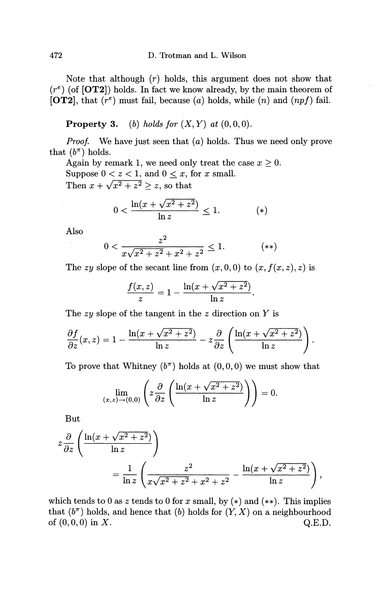## 472 D. Trotman and L. Wilson

Note that although  $(r)$  holds, this argument does not show that  $(r<sup>e</sup>)$  (of **[OT2]**) holds. In fact we know already, by the main theorem of **[OT2],** that *(re)* must fail, because *(a)* holds, while *(n)* and *(npf)* fail.

**Property 3.** *(b) holds for*  $(X, Y)$  *at*  $(0, 0, 0)$ .

*Proof.* We have just seen that (a) holds. Thus we need only prove that  $(b^{\pi})$  holds.

Again by remark 1, we need only treat the case  $x \geq 0$ . Suppose  $0 < z < 1$ , and  $0 \le x$ , for *x* small. Then  $x + \sqrt{x^2 + z^2} \ge z$ , so that

$$
0 < \frac{\ln(x + \sqrt{x^2 + z^2})}{\ln z} \le 1. \tag{*}
$$

Also

$$
0 < \frac{z^2}{x\sqrt{x^2 + z^2} + x^2 + z^2} \le 1. \tag{**}
$$

The zy slope of the secant line from  $(x, 0, 0)$  to  $(x, f(x, z), z)$  is

$$
\frac{f(x,z)}{z}=1-\frac{\ln(x+\sqrt{x^2+z^2})}{\ln z}.
$$

The zy slope of the tangent in the z direction on *Y* is

$$
\frac{\partial f}{\partial z}(x,z) = 1 - \frac{\ln(x + \sqrt{x^2 + z^2})}{\ln z} - z \frac{\partial}{\partial z} \left( \frac{\ln(x + \sqrt{x^2 + z^2})}{\ln z} \right).
$$

To prove that Whitney  $(b^{\pi})$  holds at  $(0, 0, 0)$  we must show that

$$
\lim_{(x,z)\to(0,0)}\left(z\frac{\partial}{\partial z}\left(\frac{\ln(x+\sqrt{x^2+z^2})}{\ln z}\right)\right)=0.
$$

But

$$
z\frac{\partial}{\partial z}\left(\frac{\ln(x+\sqrt{x^2+z^2})}{\ln z}\right)
$$
  
= 
$$
\frac{1}{\ln z}\left(\frac{z^2}{x\sqrt{x^2+z^2+x^2+z^2}}-\frac{\ln(x+\sqrt{x^2+z^2})}{\ln z}\right),
$$

which tends to 0 as  $z$  tends to 0 for  $x$  small, by  $(*)$  and  $(**)$ . This implies that  $(b^{\pi})$  holds, and hence that (b) holds for  $(Y, X)$  on a neighbourhood of  $(0, 0, 0)$  in X. Q.E.D.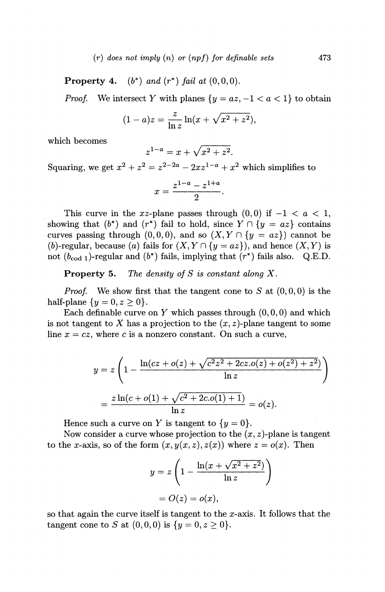#### $(r)$  does not imply  $(n)$  or  $(npf)$  for definable sets  $473$

**Property 4.**  $(b^*)$  *and*  $(r^*)$  *fail at*  $(0,0,0)$ .

*Proof.* We intersect *Y* with planes  $\{y = az, -1 < a < 1\}$  to obtain

$$
(1-a)z = \frac{z}{\ln z} \ln(x + \sqrt{x^2 + z^2}),
$$

which becomes

$$
z^{1-a} = x + \sqrt{x^2 + z^2}.
$$

Squaring, we get  $x^2 + z^2 = z^{2-2a} - 2xz^{1-a} + x^2$  which simplifies to

$$
x = \frac{z^{1-a} - z^{1+a}}{2}.
$$

This curve in the xz-plane passes through  $(0, 0)$  if  $-1 < a < 1$ , showing that  $(b^*)$  and  $(r^*)$  fail to hold, since  $Y \cap \{y = az\}$  contains curves passing through  $(0, 0, 0)$ , and so  $(X, Y \cap \{y = az\})$  cannot be (b)-regular, because (a) fails for  $(X, Y \cap {y = az})$ , and hence  $(X, Y)$  is not  $(b_{\text{cod } 1})$ -regular and  $(b^*)$  fails, implying that  $(r^*)$  fails also. Q.E.D.

**Property** 5. *The density of* S *is constant along* X.

*Proof.* We show first that the tangent cone to  $S$  at  $(0, 0, 0)$  is the half-plane  $\{y = 0, z > 0\}.$ 

Each definable curve on Y which passes through  $(0, 0, 0)$  and which is not tangent to X has a projection to the  $(x, z)$ -plane tangent to some line  $x = cz$ , where c is a nonzero constant. On such a curve,

$$
y = z \left( 1 - \frac{\ln(cz + o(z) + \sqrt{c^2 z^2 + 2cz.o(z) + o(z^2) + z^2})}{\ln z} \right)
$$
  
= 
$$
\frac{z \ln(c + o(1) + \sqrt{c^2 + 2c.o(1) + 1})}{\ln z} = o(z).
$$

Hence such a curve on Y is tangent to  $\{y = 0\}$ .

Now consider a curve whose projection to the  $(x, z)$ -plane is tangent to the x-axis, so of the form  $(x, y(x, z), z(x))$  where  $z = o(x)$ . Then

$$
y = z \left( 1 - \frac{\ln(x + \sqrt{x^2 + z^2})}{\ln z} \right)
$$

$$
= O(z) = o(x),
$$

so that again the curve itself is tangent to the x-axis. It follows that the tangent cone to *S* at  $(0, 0, 0)$  is  $\{y = 0, z \ge 0\}.$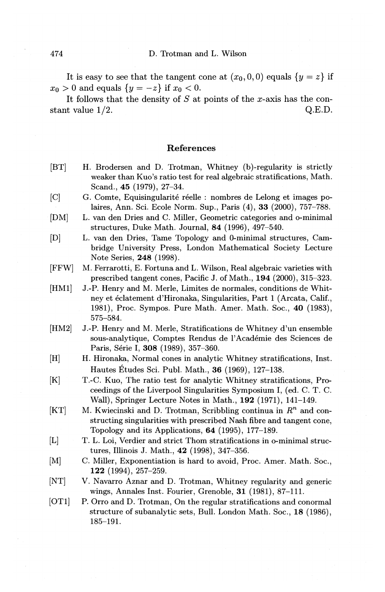It is easy to see that the tangent cone at  $(x_0, 0, 0)$  equals  $\{y = z\}$  if  $x_0 > 0$  and equals  $\{y = -z\}$  if  $x_0 < 0$ .

It follows that the density of *S* at points of the x-axis has the constant value  $1/2$ . Q.E.D.

#### References

- [BT] H. Brodersen and D. Trotman, Whitney (b)-regularity is strictly weaker than Kuo's ratio test for real algebraic stratifications, Math. Scand., 45 (1979), 27-34.
- [C] G. Comte, Equisingularité réelle : nombres de Lelong et images polaires, Ann. Sci. Ecole Norm. Sup., Paris (4), 33 (2000), 757-788.
- [DM] L. van den Dries and C. Miller, Geometric categories and o-minimal structures, Duke Math. Journal, 84 (1996), 497-540.
- [D] L. van den Dries, Tame Topology and 0-minimal structures, Cambridge University Press, London Mathematical Society Lecture Note Series, 248 (1998).
- [FFW] M. Ferrarotti, E. Fortuna and L. Wilson, Real algebraic varieties with prescribed tangent cones, Pacific J. of Math., 194 (2000), 315-323.
- [HM1] J.-P. Henry and M. Merle, Limites de normales, conditions de Whitney et éclatement d'Hironaka, Singularities, Part 1 (Arcata, Calif., 1981), Proc. Sympos. Pure Math. Amer. Math. Soc., 40 (1983), 575-584.
- [HM2] J.-P. Henry and M. Merle, Stratifications de Whitney d'un ensemble sous-analytique, Comptes Rendus de l'Académie des Sciences de Paris, Série I, 308 (1989), 357-360.
- [H] H. Hironaka, Normal cones in analytic Whitney stratifications, Inst. Hautes Etudes Sci. Publ. Math., 36 (1969), 127-138.
- [K] T.-C. Kuo, The ratio test for analytic Whitney stratifications, Proceedings of the Liverpool Singularities Symposium I, ( ed. C. T. C. Wall), Springer Lecture Notes in Math., 192 (1971), 141-149.
- $[KT]$  M. Kwiecinski and D. Trotman, Scribbling continua in  $R^n$  and constructing singularities with prescribed Nash fibre and tangent cone, Topology and its Applications, 64 (1995), 177-189.
- [L] T. L. Loi, Verdier and strict Thom stratifications in o-minimal structures, Illinois J. Math., 42 (1998), 347-356.
- [M] C. Miller, Exponentiation is hard to avoid, Proc. Amer. Math. Soc., 122 (1994), 257-259.
- [NT] V. Navarro Aznar and D. Trotman, Whitney regularity and generic wings, Annales Inst. Fourier, Grenoble, 31 (1981), 87-111.
- [OT1] P. Orro and D. Trotman, On the regular stratifications and conormal structure of subanalytic sets, Bull. London Math. Soc., 18 (1986), 185-191.